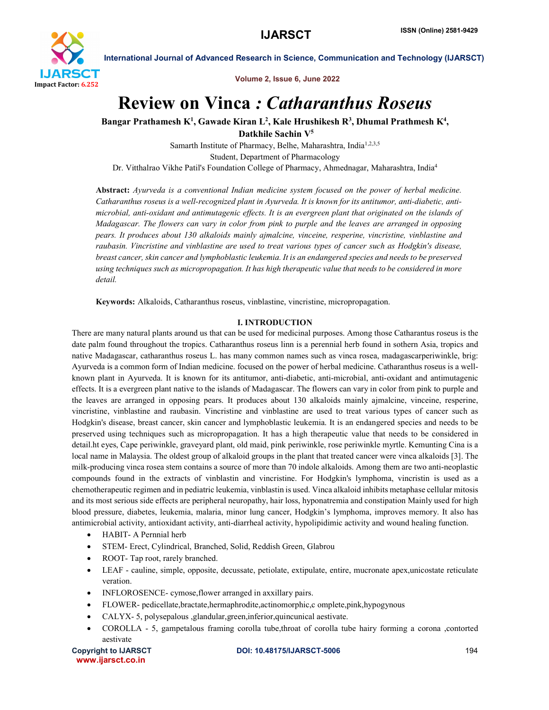

Volume 2, Issue 6, June 2022

# Review on Vinca *: Catharanthus Roseus*

Bangar Prathamesh K<sup>1</sup>, Gawade Kiran L<sup>2</sup>, Kale Hrushikesh R<sup>3</sup>, Dhumal Prathmesh K<sup>4</sup>,

Datkhile Sachin V5

Samarth Institute of Pharmacy, Belhe, Maharashtra, India<sup>1,2,3,5</sup> Student, Department of Pharmacology Dr. Vitthalrao Vikhe Patil's Foundation College of Pharmacy, Ahmednagar, Maharashtra, India4

Abstract: *Ayurveda is a conventional Indian medicine system focused on the power of herbal medicine. Catharanthus roseus is a well-recognized plant in Ayurveda. It is known for its antitumor, anti-diabetic, antimicrobial, anti-oxidant and antimutagenic effects. It is an evergreen plant that originated on the islands of Madagascar. The flowers can vary in color from pink to purple and the leaves are arranged in opposing pears. It produces about 130 alkaloids mainly ajmalcine, vinceine, resperine, vincristine, vinblastine and raubasin. Vincristine and vinblastine are used to treat various types of cancer such as Hodgkin's disease, breast cancer, skin cancer and lymphoblastic leukemia. It is an endangered species and needs to be preserved using techniques such as micropropagation. It has high therapeutic value that needs to be considered in more detail.*

Keywords: Alkaloids, Catharanthus roseus, vinblastine, vincristine, micropropagation.

# I. INTRODUCTION

There are many natural plants around us that can be used for medicinal purposes. Among those Catharantus roseus is the date palm found throughout the tropics. Catharanthus roseus linn is a perennial herb found in sothern Asia, tropics and native Madagascar, catharanthus roseus L. has many common names such as vinca rosea, madagascarperiwinkle, brig: Ayurveda is a common form of Indian medicine. focused on the power of herbal medicine. Catharanthus roseus is a wellknown plant in Ayurveda. It is known for its antitumor, anti-diabetic, anti-microbial, anti-oxidant and antimutagenic effects. It is a evergreen plant native to the islands of Madagascar. The flowers can vary in color from pink to purple and the leaves are arranged in opposing pears. It produces about 130 alkaloids mainly ajmalcine, vinceine, resperine, vincristine, vinblastine and raubasin. Vincristine and vinblastine are used to treat various types of cancer such as Hodgkin's disease, breast cancer, skin cancer and lymphoblastic leukemia. It is an endangered species and needs to be preserved using techniques such as micropropagation. It has a high therapeutic value that needs to be considered in detail.ht eyes, Cape periwinkle, graveyard plant, old maid, pink periwinkle, rose periwinkle myrtle. Kemunting Cina is a local name in Malaysia. The oldest group of alkaloid groups in the plant that treated cancer were vinca alkaloids [3]. The milk-producing vinca rosea stem contains a source of more than 70 indole alkaloids. Among them are two anti-neoplastic compounds found in the extracts of vinblastin and vincristine. For Hodgkin's lymphoma, vincristin is used as a chemotherapeutic regimen and in pediatric leukemia, vinblastin is used. Vinca alkaloid inhibits metaphase cellular mitosis and its most serious side effects are peripheral neuropathy, hair loss, hyponatremia and constipation Mainly used for high blood pressure, diabetes, leukemia, malaria, minor lung cancer, Hodgkin's lymphoma, improves memory. It also has antimicrobial activity, antioxidant activity, anti-diarrheal activity, hypolipidimic activity and wound healing function.

- HABIT- A Pernnial herb
- STEM- Erect, Cylindrical, Branched, Solid, Reddish Green, Glabrou
- ROOT- Tap root, rarely branched.
- LEAF cauline, simple, opposite, decussate, petiolate, extipulate, entire, mucronate apex,unicostate reticulate veration.
- INFLOROSENCE- cymose, flower arranged in axxillary pairs.
- FLOWER- pedicellate,bractate,hermaphrodite,actinomorphic,c omplete,pink,hypogynous
- CALYX- 5, polysepalous ,glandular,green,inferior,quincunical aestivate.
- COROLLA 5, gampetalous framing corolla tube,throat of corolla tube hairy forming a corona ,contorted aestivate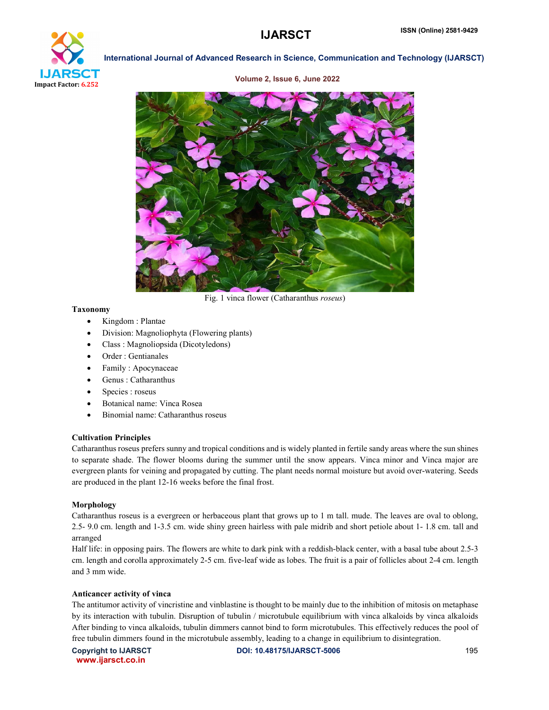

Volume 2, Issue 6, June 2022



Fig. 1 vinca flower (Catharanthus *roseus*)

# Taxonomy

- Kingdom : Plantae
- Division: Magnoliophyta (Flowering plants)
- Class : Magnoliopsida (Dicotyledons)
- Order : Gentianales
- Family : Apocynaceae
- Genus : Catharanthus
- Species : roseus
- Botanical name: Vinca Rosea
- Binomial name: Catharanthus roseus

# Cultivation Principles

Catharanthus roseus prefers sunny and tropical conditions and is widely planted in fertile sandy areas where the sun shines to separate shade. The flower blooms during the summer until the snow appears. Vinca minor and Vinca major are evergreen plants for veining and propagated by cutting. The plant needs normal moisture but avoid over-watering. Seeds are produced in the plant 12-16 weeks before the final frost.

# Morphology

Catharanthus roseus is a evergreen or herbaceous plant that grows up to 1 m tall. mude. The leaves are oval to oblong, 2.5- 9.0 cm. length and 1-3.5 cm. wide shiny green hairless with pale midrib and short petiole about 1- 1.8 cm. tall and arranged

Half life: in opposing pairs. The flowers are white to dark pink with a reddish-black center, with a basal tube about 2.5-3 cm. length and corolla approximately 2-5 cm. five-leaf wide as lobes. The fruit is a pair of follicles about 2-4 cm. length and 3 mm wide.

# Anticancer activity of vinca

The antitumor activity of vincristine and vinblastine is thought to be mainly due to the inhibition of mitosis on metaphase by its interaction with tubulin. Disruption of tubulin / microtubule equilibrium with vinca alkaloids by vinca alkaloids After binding to vinca alkaloids, tubulin dimmers cannot bind to form microtubules. This effectively reduces the pool of free tubulin dimmers found in the microtubule assembly, leading to a change in equilibrium to disintegration.

www.ijarsct.co.in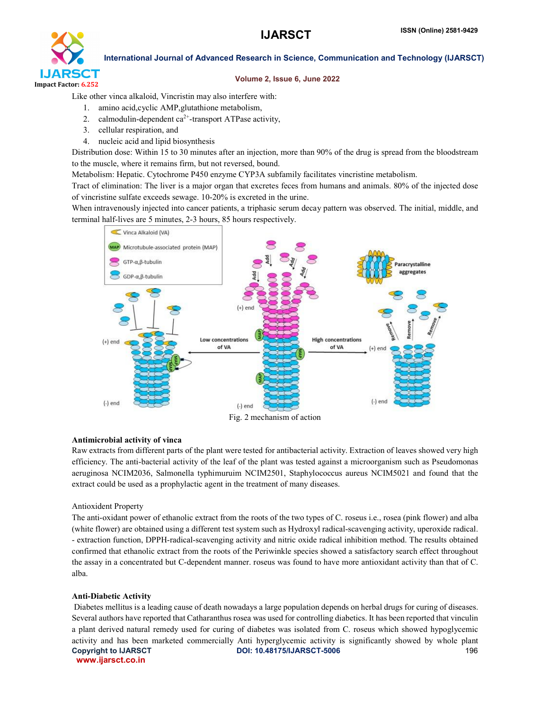

### Volume 2, Issue 6, June 2022

Like other vinca alkaloid, Vincristin may also interfere with:

- 1. amino acid,cyclic AMP,glutathione metabolism,
- 2. calmodulin-dependent  $ca^{2+}$ -transport ATPase activity,
- 3. cellular respiration, and
- 4. nucleic acid and lipid biosynthesis

Distribution dose: Within 15 to 30 minutes after an injection, more than 90% of the drug is spread from the bloodstream to the muscle, where it remains firm, but not reversed, bound.

Metabolism: Hepatic. Cytochrome P450 enzyme CYP3A subfamily facilitates vincristine metabolism.

Tract of elimination: The liver is a major organ that excretes feces from humans and animals. 80% of the injected dose of vincristine sulfate exceeds sewage. 10-20% is excreted in the urine.

When intravenously injected into cancer patients, a triphasic serum decay pattern was observed. The initial, middle, and terminal half-lives are 5 minutes, 2-3 hours, 85 hours respectively.



### Antimicrobial activity of vinca

Raw extracts from different parts of the plant were tested for antibacterial activity. Extraction of leaves showed very high efficiency. The anti-bacterial activity of the leaf of the plant was tested against a microorganism such as Pseudomonas aeruginosa NCIM2036, Salmonella typhimuruim NCIM2501, Staphylococcus aureus NCIM5021 and found that the extract could be used as a prophylactic agent in the treatment of many diseases.

# Antioxident Property

The anti-oxidant power of ethanolic extract from the roots of the two types of C. roseus i.e., rosea (pink flower) and alba (white flower) are obtained using a different test system such as Hydroxyl radical-scavenging activity, uperoxide radical. - extraction function, DPPH-radical-scavenging activity and nitric oxide radical inhibition method. The results obtained confirmed that ethanolic extract from the roots of the Periwinkle species showed a satisfactory search effect throughout the assay in a concentrated but C-dependent manner. roseus was found to have more antioxidant activity than that of C. alba.

# Anti-Diabetic Activity

Copyright to IJARSCT **DOI: 10.48175/IJARSCT-5006** 196 www.ijarsct.co.in Diabetes mellitus is a leading cause of death nowadays a large population depends on herbal drugs for curing of diseases. Several authors have reported that Catharanthus rosea was used for controlling diabetics. It has been reported that vinculin a plant derived natural remedy used for curing of diabetes was isolated from C. roseus which showed hypoglycemic activity and has been marketed commercially Anti hyperglycemic activity is significantly showed by whole plant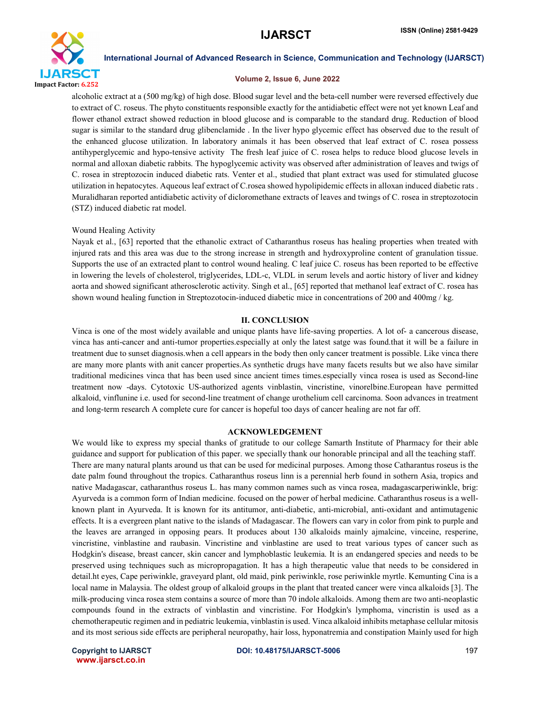

#### Volume 2, Issue 6, June 2022

alcoholic extract at a (500 mg/kg) of high dose. Blood sugar level and the beta-cell number were reversed effectively due to extract of C. roseus. The phyto constituents responsible exactly for the antidiabetic effect were not yet known Leaf and flower ethanol extract showed reduction in blood glucose and is comparable to the standard drug. Reduction of blood sugar is similar to the standard drug glibenclamide . In the liver hypo glycemic effect has observed due to the result of the enhanced glucose utilization. In laboratory animals it has been observed that leaf extract of C. rosea possess antihyperglycemic and hypo-tensive activity The fresh leaf juice of C. rosea helps to reduce blood glucose levels in normal and alloxan diabetic rabbits. The hypoglycemic activity was observed after administration of leaves and twigs of C. rosea in streptozocin induced diabetic rats. Venter et al., studied that plant extract was used for stimulated glucose utilization in hepatocytes. Aqueous leaf extract of C.rosea showed hypolipidemic effects in alloxan induced diabetic rats . Muralidharan reported antidiabetic activity of dicloromethane extracts of leaves and twings of C. rosea in streptozotocin (STZ) induced diabetic rat model.

#### Wound Healing Activity

Nayak et al., [63] reported that the ethanolic extract of Catharanthus roseus has healing properties when treated with injured rats and this area was due to the strong increase in strength and hydroxyproline content of granulation tissue. Supports the use of an extracted plant to control wound healing. C leaf juice C. roseus has been reported to be effective in lowering the levels of cholesterol, triglycerides, LDL-c, VLDL in serum levels and aortic history of liver and kidney aorta and showed significant atherosclerotic activity. Singh et al., [65] reported that methanol leaf extract of C. rosea has shown wound healing function in Streptozotocin-induced diabetic mice in concentrations of 200 and 400mg / kg.

#### II. CONCLUSION

Vinca is one of the most widely available and unique plants have life-saving properties. A lot of- a cancerous disease, vinca has anti-cancer and anti-tumor properties.especially at only the latest satge was found.that it will be a failure in treatment due to sunset diagnosis.when a cell appears in the body then only cancer treatment is possible. Like vinca there are many more plants with anit cancer properties.As synthetic drugs have many facets results but we also have similar traditional medicines vinca that has been used since ancient times times.especially vinca rosea is used as Second-line treatment now -days. Cytotoxic US-authorized agents vinblastin, vincristine, vinorelbine.European have permitted alkaloid, vinflunine i.e. used for second-line treatment of change urothelium cell carcinoma. Soon advances in treatment and long-term research A complete cure for cancer is hopeful too days of cancer healing are not far off.

### ACKNOWLEDGEMENT

We would like to express my special thanks of gratitude to our college Samarth Institute of Pharmacy for their able guidance and support for publication of this paper. we specially thank our honorable principal and all the teaching staff. There are many natural plants around us that can be used for medicinal purposes. Among those Catharantus roseus is the date palm found throughout the tropics. Catharanthus roseus linn is a perennial herb found in sothern Asia, tropics and native Madagascar, catharanthus roseus L. has many common names such as vinca rosea, madagascarperiwinkle, brig: Ayurveda is a common form of Indian medicine. focused on the power of herbal medicine. Catharanthus roseus is a wellknown plant in Ayurveda. It is known for its antitumor, anti-diabetic, anti-microbial, anti-oxidant and antimutagenic effects. It is a evergreen plant native to the islands of Madagascar. The flowers can vary in color from pink to purple and the leaves are arranged in opposing pears. It produces about 130 alkaloids mainly ajmalcine, vinceine, resperine, vincristine, vinblastine and raubasin. Vincristine and vinblastine are used to treat various types of cancer such as Hodgkin's disease, breast cancer, skin cancer and lymphoblastic leukemia. It is an endangered species and needs to be preserved using techniques such as micropropagation. It has a high therapeutic value that needs to be considered in detail.ht eyes, Cape periwinkle, graveyard plant, old maid, pink periwinkle, rose periwinkle myrtle. Kemunting Cina is a local name in Malaysia. The oldest group of alkaloid groups in the plant that treated cancer were vinca alkaloids [3]. The milk-producing vinca rosea stem contains a source of more than 70 indole alkaloids. Among them are two anti-neoplastic compounds found in the extracts of vinblastin and vincristine. For Hodgkin's lymphoma, vincristin is used as a chemotherapeutic regimen and in pediatric leukemia, vinblastin is used. Vinca alkaloid inhibits metaphase cellular mitosis and its most serious side effects are peripheral neuropathy, hair loss, hyponatremia and constipation Mainly used for high

www.ijarsct.co.in